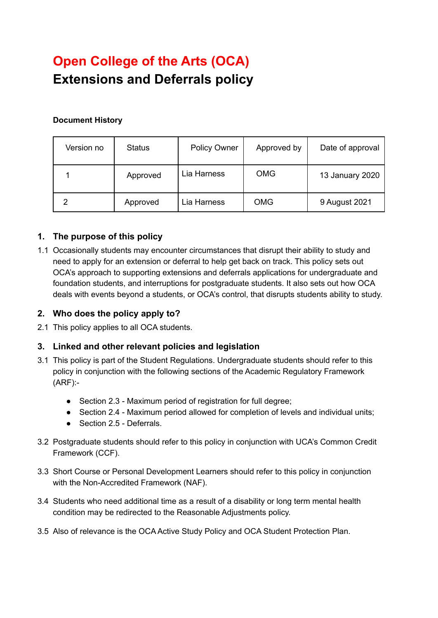# **Open College of the Arts (OCA) Extensions and Deferrals policy**

## **Document History**

| Version no | <b>Status</b> | <b>Policy Owner</b> | Approved by | Date of approval |
|------------|---------------|---------------------|-------------|------------------|
|            | Approved      | Lia Harness         | <b>OMG</b>  | 13 January 2020  |
| າ          | Approved      | Lia Harness         | <b>OMG</b>  | 9 August 2021    |

# **1. The purpose of this policy**

1.1 Occasionally students may encounter circumstances that disrupt their ability to study and need to apply for an extension or deferral to help get back on track. This policy sets out OCA's approach to supporting extensions and deferrals applications for undergraduate and foundation students, and interruptions for postgraduate students. It also sets out how OCA deals with events beyond a students, or OCA's control, that disrupts students ability to study.

# **2. Who does the policy apply to?**

2.1 This policy applies to all OCA students.

# **3. Linked and other relevant policies and legislation**

- 3.1 This policy is part of the Student Regulations. Undergraduate students should refer to this policy in conjunction with the following sections of the Academic Regulatory Framework (ARF):-
	- Section 2.3 Maximum period of registration for full degree:
	- Section 2.4 Maximum period allowed for completion of levels and individual units;
	- Section 2.5 Deferrals
- 3.2 Postgraduate students should refer to this policy in conjunction with UCA's Common Credit Framework (CCF).
- 3.3 Short Course or Personal Development Learners should refer to this policy in conjunction with the Non-Accredited Framework (NAF).
- 3.4 Students who need additional time as a result of a disability or long term mental health condition may be redirected to the Reasonable Adjustments policy.
- 3.5 Also of relevance is the OCA Active Study Policy and OCA Student Protection Plan.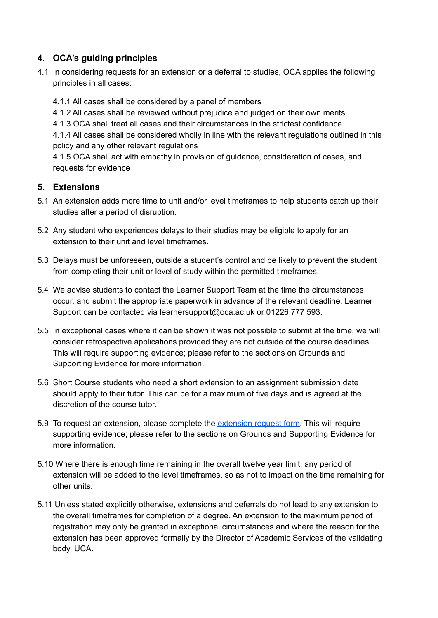# **4. OCA's guiding principles**

4.1 In considering requests for an extension or a deferral to studies, OCA applies the following principles in all cases:

4.1.1 All cases shall be considered by a panel of members

- 4.1.2 All cases shall be reviewed without prejudice and judged on their own merits
- 4.1.3 OCA shall treat all cases and their circumstances in the strictest confidence

4.1.4 All cases shall be considered wholly in line with the relevant regulations outlined in this policy and any other relevant regulations

4.1.5 OCA shall act with empathy in provision of guidance, consideration of cases, and requests for evidence

## **5. Extensions**

- 5.1 An extension adds more time to unit and/or level timeframes to help students catch up their studies after a period of disruption.
- 5.2 Any student who experiences delays to their studies may be eligible to apply for an extension to their unit and level timeframes.
- 5.3 Delays must be unforeseen, outside a student's control and be likely to prevent the student from completing their unit or level of study within the permitted timeframes.
- 5.4 We advise students to contact the Learner Support Team at the time the circumstances occur, and submit the appropriate paperwork in advance of the relevant deadline. Learner Support can be contacted via learnersupport@oca.ac.uk or 01226 777 593.
- 5.5 In exceptional cases where it can be shown it was not possible to submit at the time, we will consider retrospective applications provided they are not outside of the course deadlines. This will require supporting evidence; please refer to the sections on Grounds and Supporting Evidence for more information.
- 5.6 Short Course students who need a short extension to an assignment submission date should apply to their tutor. This can be for a maximum of five days and is agreed at the discretion of the course tutor.
- 5.9 To request an extension, please complete the [extension](https://www.oca.ac.uk/wp-content/uploads/2020/01/Extension-Request-Form.pdf) request form. This will require supporting evidence; please refer to the sections on Grounds and Supporting Evidence for more information.
- 5.10 Where there is enough time remaining in the overall twelve year limit, any period of extension will be added to the level timeframes, so as not to impact on the time remaining for other units.
- 5.11 Unless stated explicitly otherwise, extensions and deferrals do not lead to any extension to the overall timeframes for completion of a degree. An extension to the maximum period of registration may only be granted in exceptional circumstances and where the reason for the extension has been approved formally by the Director of Academic Services of the validating body, UCA.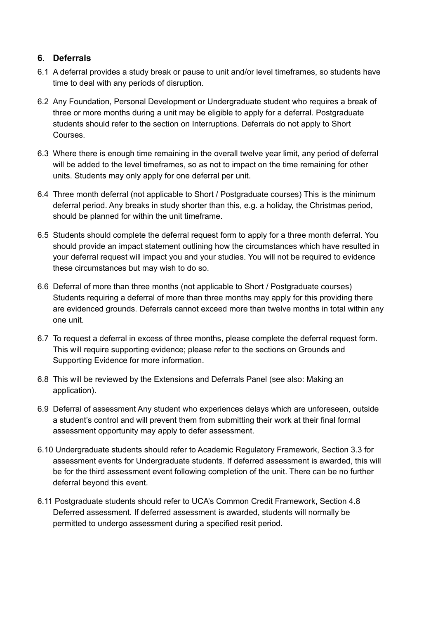# **6. Deferrals**

- 6.1 A deferral provides a study break or pause to unit and/or level timeframes, so students have time to deal with any periods of disruption.
- 6.2 Any Foundation, Personal Development or Undergraduate student who requires a break of three or more months during a unit may be eligible to apply for a deferral. Postgraduate students should refer to the section on Interruptions. Deferrals do not apply to Short Courses.
- 6.3 Where there is enough time remaining in the overall twelve year limit, any period of deferral will be added to the level timeframes, so as not to impact on the time remaining for other units. Students may only apply for one deferral per unit.
- 6.4 Three month deferral (not applicable to Short / Postgraduate courses) This is the minimum deferral period. Any breaks in study shorter than this, e.g. a holiday, the Christmas period, should be planned for within the unit timeframe.
- 6.5 Students should complete the deferral request form to apply for a three month deferral. You should provide an impact statement outlining how the circumstances which have resulted in your deferral request will impact you and your studies. You will not be required to evidence these circumstances but may wish to do so.
- 6.6 Deferral of more than three months (not applicable to Short / Postgraduate courses) Students requiring a deferral of more than three months may apply for this providing there are evidenced grounds. Deferrals cannot exceed more than twelve months in total within any one unit.
- 6.7 To request a deferral in excess of three months, please complete the deferral request form. This will require supporting evidence; please refer to the sections on Grounds and Supporting Evidence for more information.
- 6.8 This will be reviewed by the Extensions and Deferrals Panel (see also: Making an application).
- 6.9 Deferral of assessment Any student who experiences delays which are unforeseen, outside a student's control and will prevent them from submitting their work at their final formal assessment opportunity may apply to defer assessment.
- 6.10 Undergraduate students should refer to Academic Regulatory Framework, Section 3.3 for assessment events for Undergraduate students. If deferred assessment is awarded, this will be for the third assessment event following completion of the unit. There can be no further deferral beyond this event.
- 6.11 Postgraduate students should refer to UCA's Common Credit Framework, Section 4.8 Deferred assessment. If deferred assessment is awarded, students will normally be permitted to undergo assessment during a specified resit period.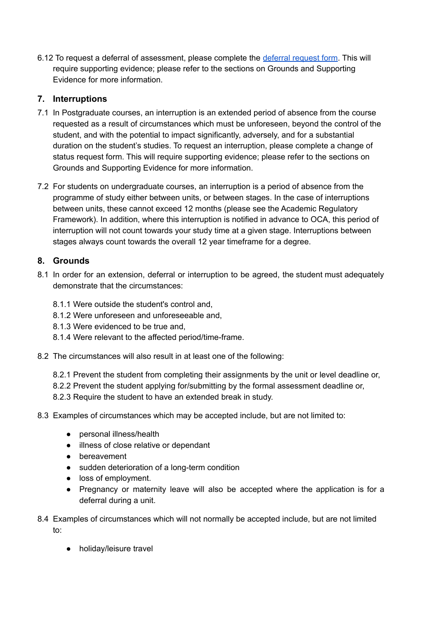6.12 To request a [deferral](https://www.oca.ac.uk/wp-content/uploads/2020/01/Deferral-Request-Form.pdf) of assessment, please complete the deferral request form. This will require supporting evidence; please refer to the sections on Grounds and Supporting Evidence for more information.

# **7. Interruptions**

- 7.1 In Postgraduate courses, an interruption is an extended period of absence from the course requested as a result of circumstances which must be unforeseen, beyond the control of the student, and with the potential to impact significantly, adversely, and for a substantial duration on the student's studies. To request an interruption, please complete a change of status request form. This will require supporting evidence; please refer to the sections on Grounds and Supporting Evidence for more information.
- 7.2 For students on undergraduate courses, an interruption is a period of absence from the programme of study either between units, or between stages. In the case of interruptions between units, these cannot exceed 12 months (please see the Academic Regulatory Framework). In addition, where this interruption is notified in advance to OCA, this period of interruption will not count towards your study time at a given stage. Interruptions between stages always count towards the overall 12 year timeframe for a degree.

# **8. Grounds**

- 8.1 In order for an extension, deferral or interruption to be agreed, the student must adequately demonstrate that the circumstances:
	- 8.1.1 Were outside the student's control and,
	- 8.1.2 Were unforeseen and unforeseeable and,
	- 8.1.3 Were evidenced to be true and,
	- 8.1.4 Were relevant to the affected period/time-frame.
- 8.2 The circumstances will also result in at least one of the following:
	- 8.2.1 Prevent the student from completing their assignments by the unit or level deadline or,
	- 8.2.2 Prevent the student applying for/submitting by the formal assessment deadline or,
	- 8.2.3 Require the student to have an extended break in study.
- 8.3 Examples of circumstances which may be accepted include, but are not limited to:
	- personal illness/health
	- illness of close relative or dependant
	- bereavement
	- sudden deterioration of a long-term condition
	- loss of employment.
	- Pregnancy or maternity leave will also be accepted where the application is for a deferral during a unit.
- 8.4 Examples of circumstances which will not normally be accepted include, but are not limited to:
	- holiday/leisure travel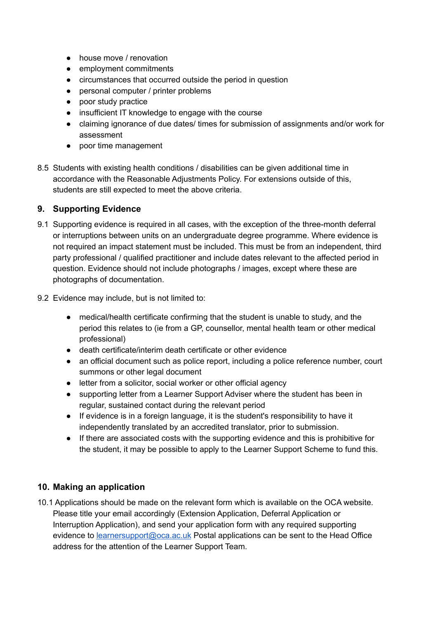- house move / renovation
- employment commitments
- circumstances that occurred outside the period in question
- personal computer / printer problems
- poor study practice
- insufficient IT knowledge to engage with the course
- claiming ignorance of due dates/ times for submission of assignments and/or work for assessment
- poor time management
- 8.5 Students with existing health conditions / disabilities can be given additional time in accordance with the Reasonable Adjustments Policy. For extensions outside of this, students are still expected to meet the above criteria.

#### **9. Supporting Evidence**

- 9.1 Supporting evidence is required in all cases, with the exception of the three-month deferral or interruptions between units on an undergraduate degree programme. Where evidence is not required an impact statement must be included. This must be from an independent, third party professional / qualified practitioner and include dates relevant to the affected period in question. Evidence should not include photographs / images, except where these are photographs of documentation.
- 9.2 Evidence may include, but is not limited to:
	- medical/health certificate confirming that the student is unable to study, and the period this relates to (ie from a GP, counsellor, mental health team or other medical professional)
	- death certificate/interim death certificate or other evidence
	- an official document such as police report, including a police reference number, court summons or other legal document
	- letter from a solicitor, social worker or other official agency
	- supporting letter from a Learner Support Adviser where the student has been in regular, sustained contact during the relevant period
	- If evidence is in a foreign language, it is the student's responsibility to have it independently translated by an accredited translator, prior to submission.
	- If there are associated costs with the supporting evidence and this is prohibitive for the student, it may be possible to apply to the Learner Support Scheme to fund this.

#### **10. Making an application**

10.1 Applications should be made on the relevant form which is available on the OCA website. Please title your email accordingly (Extension Application, Deferral Application or Interruption Application), and send your application form with any required supporting evidence to [learnersupport@oca.ac.uk](mailto:learnersupport@oca.ac.uk) Postal applications can be sent to the Head Office address for the attention of the Learner Support Team.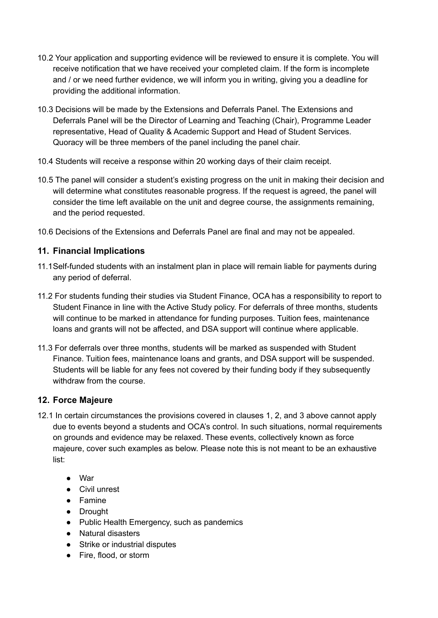- 10.2 Your application and supporting evidence will be reviewed to ensure it is complete. You will receive notification that we have received your completed claim. If the form is incomplete and / or we need further evidence, we will inform you in writing, giving you a deadline for providing the additional information.
- 10.3 Decisions will be made by the Extensions and Deferrals Panel. The Extensions and Deferrals Panel will be the Director of Learning and Teaching (Chair), Programme Leader representative, Head of Quality & Academic Support and Head of Student Services. Quoracy will be three members of the panel including the panel chair.
- 10.4 Students will receive a response within 20 working days of their claim receipt.
- 10.5 The panel will consider a student's existing progress on the unit in making their decision and will determine what constitutes reasonable progress. If the request is agreed, the panel will consider the time left available on the unit and degree course, the assignments remaining, and the period requested.
- 10.6 Decisions of the Extensions and Deferrals Panel are final and may not be appealed.

## **11. Financial Implications**

- 11.1Self-funded students with an instalment plan in place will remain liable for payments during any period of deferral.
- 11.2 For students funding their studies via Student Finance, OCA has a responsibility to report to Student Finance in line with the Active Study policy. For deferrals of three months, students will continue to be marked in attendance for funding purposes. Tuition fees, maintenance loans and grants will not be affected, and DSA support will continue where applicable.
- 11.3 For deferrals over three months, students will be marked as suspended with Student Finance. Tuition fees, maintenance loans and grants, and DSA support will be suspended. Students will be liable for any fees not covered by their funding body if they subsequently withdraw from the course.

#### **12. Force Majeure**

- 12.1 In certain circumstances the provisions covered in clauses 1, 2, and 3 above cannot apply due to events beyond a students and OCA's control. In such situations, normal requirements on grounds and evidence may be relaxed. These events, collectively known as force majeure, cover such examples as below. Please note this is not meant to be an exhaustive list:
	- War
	- Civil unrest
	- Famine
	- Drought
	- Public Health Emergency, such as pandemics
	- Natural disasters
	- Strike or industrial disputes
	- Fire, flood, or storm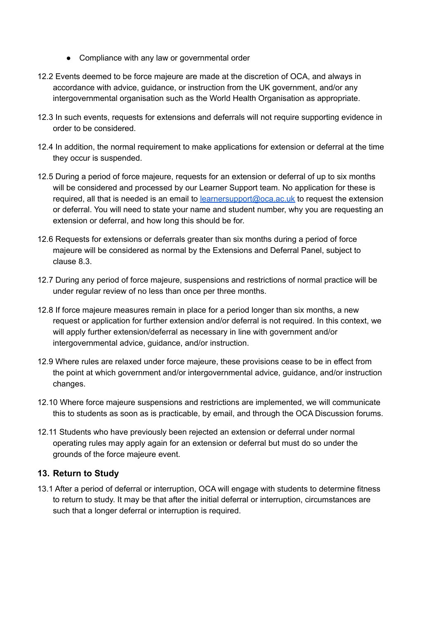- Compliance with any law or governmental order
- 12.2 Events deemed to be force majeure are made at the discretion of OCA, and always in accordance with advice, guidance, or instruction from the UK government, and/or any intergovernmental organisation such as the World Health Organisation as appropriate.
- 12.3 In such events, requests for extensions and deferrals will not require supporting evidence in order to be considered.
- 12.4 In addition, the normal requirement to make applications for extension or deferral at the time they occur is suspended.
- 12.5 During a period of force majeure, requests for an extension or deferral of up to six months will be considered and processed by our Learner Support team. No application for these is required, all that is needed is an email to [learnersupport@oca.ac.uk](mailto:learnersupport@oca.ac.uk) to request the extension or deferral. You will need to state your name and student number, why you are requesting an extension or deferral, and how long this should be for.
- 12.6 Requests for extensions or deferrals greater than six months during a period of force majeure will be considered as normal by the Extensions and Deferral Panel, subject to clause 8.3.
- 12.7 During any period of force majeure, suspensions and restrictions of normal practice will be under regular review of no less than once per three months.
- 12.8 If force majeure measures remain in place for a period longer than six months, a new request or application for further extension and/or deferral is not required. In this context, we will apply further extension/deferral as necessary in line with government and/or intergovernmental advice, guidance, and/or instruction.
- 12.9 Where rules are relaxed under force majeure, these provisions cease to be in effect from the point at which government and/or intergovernmental advice, guidance, and/or instruction changes.
- 12.10 Where force majeure suspensions and restrictions are implemented, we will communicate this to students as soon as is practicable, by email, and through the OCA Discussion forums.
- 12.11 Students who have previously been rejected an extension or deferral under normal operating rules may apply again for an extension or deferral but must do so under the grounds of the force majeure event.

#### **13. Return to Study**

13.1 After a period of deferral or interruption, OCA will engage with students to determine fitness to return to study. It may be that after the initial deferral or interruption, circumstances are such that a longer deferral or interruption is required.